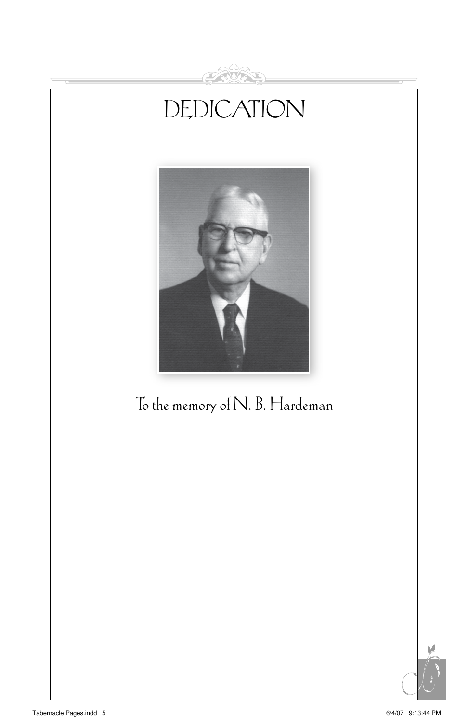

N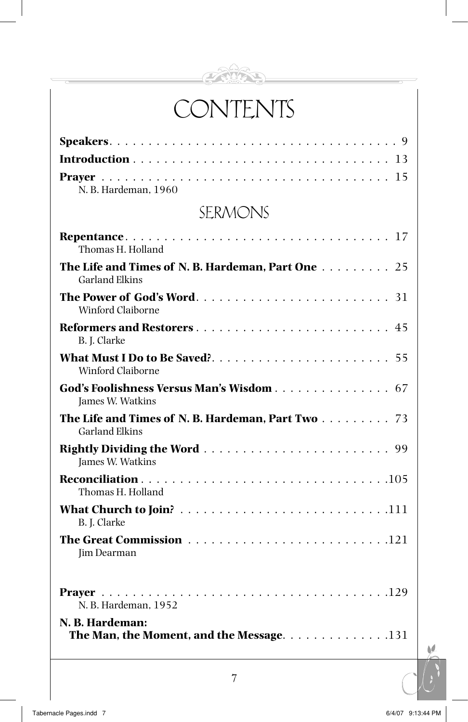

# **CONTENTS**

| N. B. Hardeman, 1960                                                                          |
|-----------------------------------------------------------------------------------------------|
| SERMONS                                                                                       |
| Thomas H. Holland                                                                             |
| The Life and Times of N. B. Hardeman, Part One 25<br><b>Garland Elkins</b>                    |
| Winford Claiborne                                                                             |
| B. J. Clarke                                                                                  |
| <b>Winford Claiborne</b>                                                                      |
| God's Foolishness Versus Man's Wisdom 67<br>James W. Watkins                                  |
| The Life and Times of N. B. Hardeman, Part Two 73<br><b>Garland Elkins</b>                    |
| James W. Watkins                                                                              |
| Thomas H. Holland                                                                             |
| B. J. Clarke                                                                                  |
| Jim Dearman                                                                                   |
| N. B. Hardeman, 1952                                                                          |
| N. B. Hardeman:<br>The Man, the Moment, and the Message. $\ldots \ldots \ldots \ldots \ldots$ |

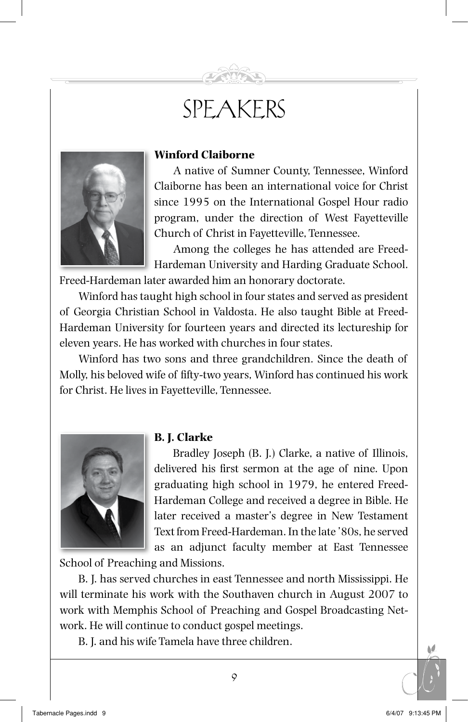## SPEAKERS



### **Winford Claiborne**

A native of Sumner County, Tennessee, Winford Claiborne has been an international voice for Christ since 1995 on the International Gospel Hour radio program, under the direction of West Fayetteville Church of Christ in Fayetteville, Tennessee.

Among the colleges he has attended are Freed-Hardeman University and Harding Graduate School. Freed-Hardeman later awarded him an honorary doctorate.

Winford has taught high school in four states and served as president of Georgia Christian School in Valdosta. He also taught Bible at Freed-Hardeman University for fourteen years and directed its lectureship for eleven years. He has worked with churches in four states.

Winford has two sons and three grandchildren. Since the death of Molly, his beloved wife of fifty-two years, Winford has continued his work for Christ. He lives in Fayetteville, Tennessee.



#### **B. J. Clarke**

Bradley Joseph (B. J.) Clarke, a native of Illinois, delivered his first sermon at the age of nine. Upon graduating high school in 1979, he entered Freed-Hardeman College and received a degree in Bible. He later received a master's degree in New Testament Text from Freed-Hardeman. In the late '80s, he served as an adjunct faculty member at East Tennessee

School of Preaching and Missions.

B. J. has served churches in east Tennessee and north Mississippi. He will terminate his work with the Southaven church in August 2007 to work with Memphis School of Preaching and Gospel Broadcasting Network. He will continue to conduct gospel meetings.

B. J. and his wife Tamela have three children.

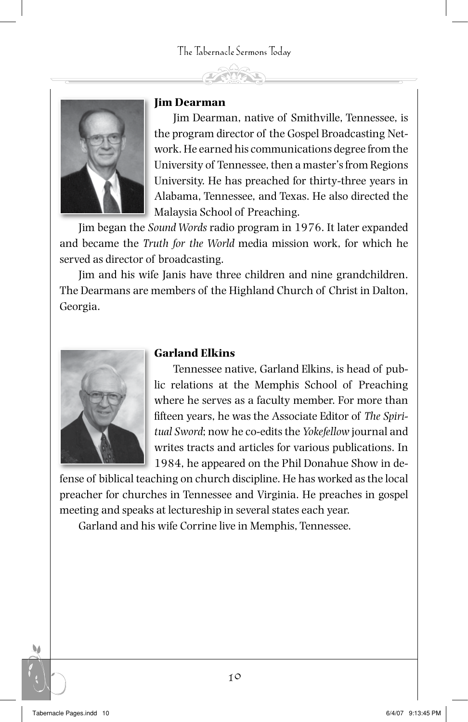

#### **Jim Dearman**

Jim Dearman, native of Smithville, Tennessee, is the program director of the Gospel Broadcasting Network. He earned his communications degree from the University of Tennessee, then a master's from Regions University. He has preached for thirty-three years in Alabama, Tennessee, and Texas. He also directed the Malaysia School of Preaching.

Jim began the *Sound Words* radio program in 1976. It later expanded and became the *Truth for the World* media mission work, for which he served as director of broadcasting.

Jim and his wife Janis have three children and nine grandchildren. The Dearmans are members of the Highland Church of Christ in Dalton, Georgia.



#### **Garland Elkins**

Tennessee native, Garland Elkins, is head of public relations at the Memphis School of Preaching where he serves as a faculty member. For more than fifteen years, he was the Associate Editor of *The Spiritual Sword*; now he co-edits the *Yokefellow* journal and writes tracts and articles for various publications. In 1984, he appeared on the Phil Donahue Show in de-

fense of biblical teaching on church discipline. He has worked as the local preacher for churches in Tennessee and Virginia. He preaches in gospel meeting and speaks at lectureship in several states each year.

Garland and his wife Corrine live in Memphis, Tennessee.

۵۵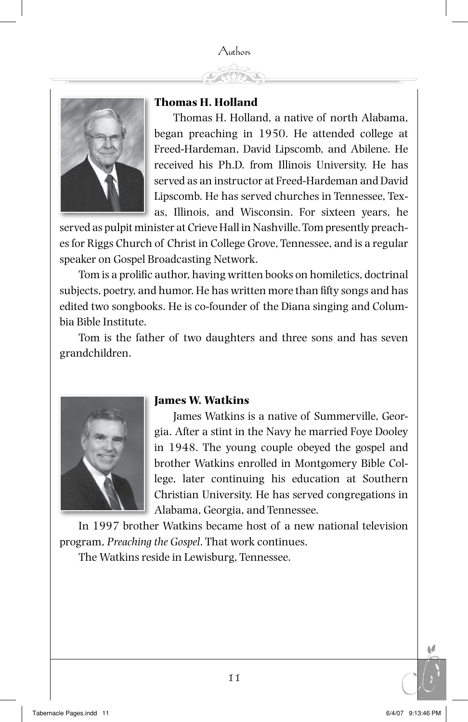#### Authors



#### **Thomas H. Holland**

Thomas H. Holland, a native of north Alabama, began preaching in 1950. He attended college at Freed-Hardeman, David Lipscomb, and Abilene. He received his Ph.D. from Illinois University. He has served as an instructor at Freed-Hardeman and David Lipscomb. He has served churches in Tennessee, Texas, Illinois, and Wisconsin. For sixteen years, he

served as pulpit minister at Crieve Hall in Nashville. Tom presently preaches for Riggs Church of Christ in College Grove, Tennessee, and is a regular speaker on Gospel Broadcasting Network.

Tom is a prolific author, having written books on homiletics, doctrinal subjects, poetry, and humor. He has written more than fifty songs and has edited two songbooks. He is co-founder of the Diana singing and Columbia Bible Institute.

Tom is the father of two daughters and three sons and has seven grandchildren.



#### **James W. Watkins**

James Watkins is a native of Summerville, Georgia. After a stint in the Navy he married Foye Dooley in 1948. The young couple obeyed the gospel and brother Watkins enrolled in Montgomery Bible College, later continuing his education at Southern Christian University. He has served congregations in Alabama, Georgia, and Tennessee.

In 1997 brother Watkins became host of a new national television program, *Preaching the Gospel*. That work continues.

The Watkins reside in Lewisburg, Tennessee.

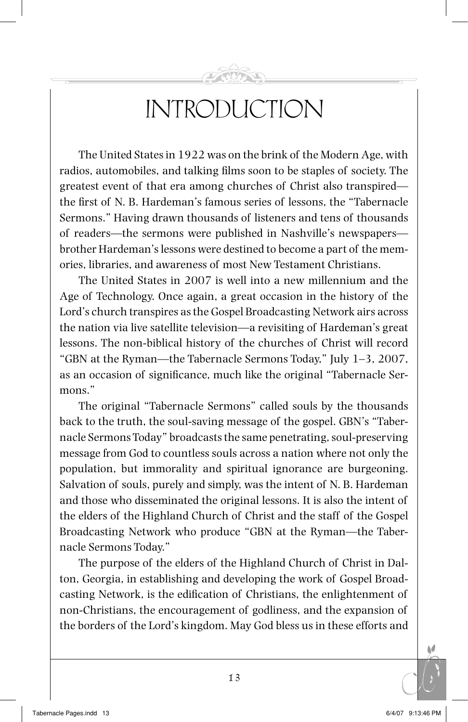## INTRODUCTION

The United States in 1922 was on the brink of the Modern Age, with radios, automobiles, and talking films soon to be staples of society. The greatest event of that era among churches of Christ also transpired the first of N. B. Hardeman's famous series of lessons, the "Tabernacle Sermons." Having drawn thousands of listeners and tens of thousands of readers—the sermons were published in Nashville's newspapers brother Hardeman's lessons were destined to become a part of the memories, libraries, and awareness of most New Testament Christians.

The United States in 2007 is well into a new millennium and the Age of Technology. Once again, a great occasion in the history of the Lord's church transpires as the Gospel Broadcasting Network airs across the nation via live satellite television—a revisiting of Hardeman's great lessons. The non-biblical history of the churches of Christ will record "GBN at the Ryman—the Tabernacle Sermons Today," July 1–3, 2007, as an occasion of significance, much like the original "Tabernacle Sermons."

The original "Tabernacle Sermons" called souls by the thousands back to the truth, the soul-saving message of the gospel. GBN's "Tabernacle Sermons Today" broadcasts the same penetrating, soul-preservingmessage from God to countless souls across a nation where not only the population, but immorality and spiritual ignorance are burgeoning. Salvation of souls, purely and simply, was the intent of N. B. Hardeman and those who disseminated the original lessons. It is also the intent of the elders of the Highland Church of Christ and the staff of the Gospel Broadcasting Network who produce "GBN at the Ryman—the Tabernacle Sermons Today."

The purpose of the elders of the Highland Church of Christ in Dalton, Georgia, in establishing and developing the work of Gospel Broadcasting Network, is the edification of Christians, the enlightenment of non-Christians, the encouragement of godliness, and the expansion of the borders of the Lord's kingdom. May God bless us in these efforts and

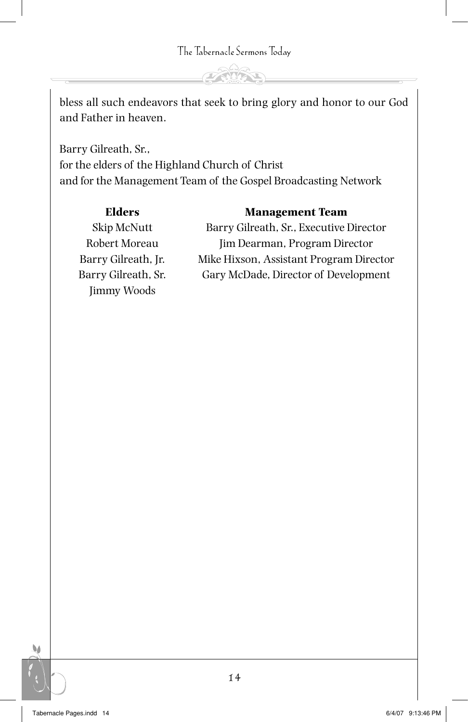The Tabernacle Sermons Today

bless all such endeavors that seek to bring glory and honor to our God and Father in heaven.

Barry Gilreath, Sr., for the elders of the Highland Church of Christ and for the Management Team of the Gospel Broadcasting Network

#### **Elders Management Team**

Jimmy Woods

Skip McNutt Barry Gilreath, Sr., Executive Director Robert Moreau Jim Dearman, Program Director Barry Gilreath, Jr. Mike Hixson, Assistant Program Director Barry Gilreath, Sr. Gary McDade, Director of Development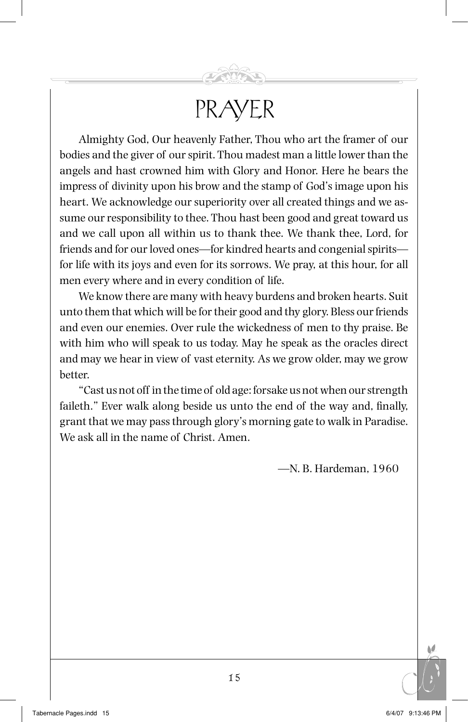### PRAYER

Almighty God, Our heavenly Father, Thou who art the framer of our bodies and the giver of our spirit. Thou madest man a little lower than the angels and hast crowned him with Glory and Honor. Here he bears the impress of divinity upon his brow and the stamp of God's image upon his heart. We acknowledge our superiority over all created things and we assume our responsibility to thee. Thou hast been good and great toward us and we call upon all within us to thank thee. We thank thee, Lord, for friends and for our loved ones—for kindred hearts and congenial spirits for life with its joys and even for its sorrows. We pray, at this hour, for all men every where and in every condition of life.

We know there are many with heavy burdens and broken hearts. Suit unto them that which will be for their good and thy glory. Bless our friends and even our enemies. Over rule the wickedness of men to thy praise. Be with him who will speak to us today. May he speak as the oracles direct and may we hear in view of vast eternity. As we grow older, may we grow better.

"Cast us not off in the time of old age: forsake us not when our strength faileth." Ever walk along beside us unto the end of the way and, finally, grant that we may pass through glory's morning gate to walk in Paradise. We ask all in the name of Christ. Amen.

—N. B. Hardeman, 1960

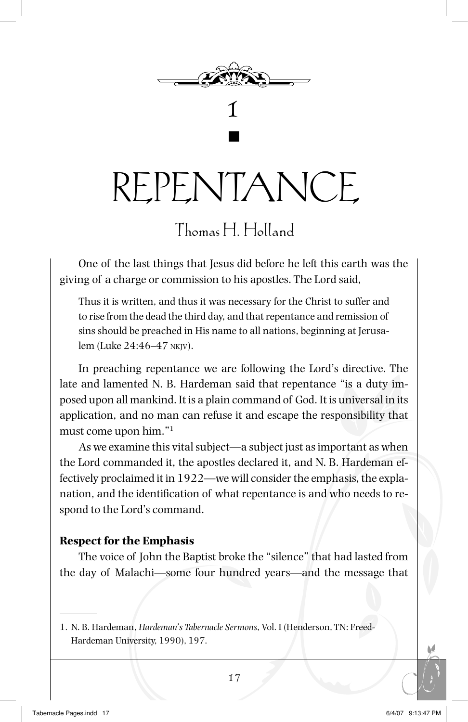

Repentance

g

### Thomas H. Holland

One of the last things that Jesus did before he left this earth was the giving of a charge or commission to his apostles. The Lord said,

Thus it is written, and thus it was necessary for the Christ to suffer and to rise from the dead the third day, and that repentance and remission of sins should be preached in His name to all nations, beginning at Jerusalem (Luke 24:46–47 nkjv).

In preaching repentance we are following the Lord's directive. The late and lamented N. B. Hardeman said that repentance "is a duty imposed upon all mankind. It is a plain command of God. It is universal in its application, and no man can refuse it and escape the responsibility that must come upon him."1

As we examine this vital subject—a subject just as important as when the Lord commanded it, the apostles declared it, and N. B. Hardeman effectively proclaimed it in 1922—we will consider the emphasis, the explanation, and the identification of what repentance is and who needs to respond to the Lord's command.

#### **Respect for the Emphasis**

The voice of John the Baptist broke the "silence" that had lasted from the day of Malachi—some four hundred years—and the message that

<sup>1.</sup> N. B. Hardeman, *Hardeman's Tabernacle Sermons*, Vol. I (Henderson, TN: Freed-Hardeman University, 1990), 197.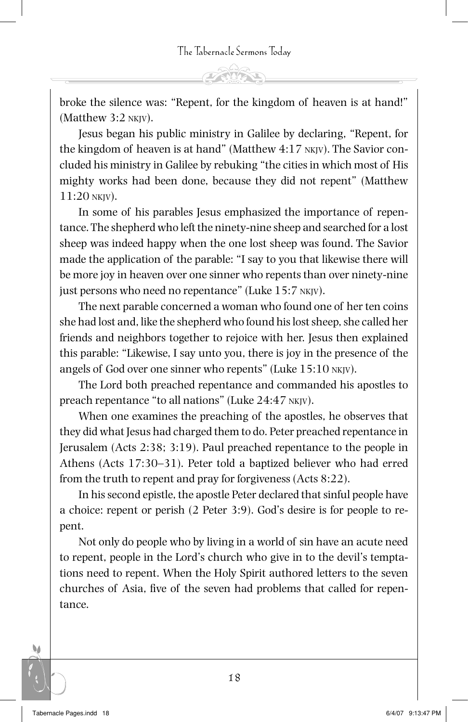broke the silence was: "Repent, for the kingdom of heaven is at hand!" (Matthew 3:2 nkjv).

Jesus began his public ministry in Galilee by declaring, "Repent, for the kingdom of heaven is at hand" (Matthew 4:17 nkjv). The Savior concluded his ministry in Galilee by rebuking "the cities in which most of His mighty works had been done, because they did not repent" (Matthew 11:20 nkjv).

In some of his parables Jesus emphasized the importance of repentance. The shepherd who left the ninety-nine sheep and searched for a lost sheep was indeed happy when the one lost sheep was found. The Savior made the application of the parable: "I say to you that likewise there will be more joy in heaven over one sinner who repents than over ninety-nine just persons who need no repentance" (Luke 15:7 nkjv).

The next parable concerned a woman who found one of her ten coins she had lost and, like the shepherd who found his lost sheep, she called her friends and neighbors together to rejoice with her. Jesus then explained this parable: "Likewise, I say unto you, there is joy in the presence of the angels of God over one sinner who repents" (Luke 15:10 nkjv).

The Lord both preached repentance and commanded his apostles to preach repentance "to all nations" (Luke 24:47 nkjv).

When one examines the preaching of the apostles, he observes that they did what Jesus had charged them to do. Peter preached repentance in Jerusalem (Acts 2:38; 3:19). Paul preached repentance to the people in Athens (Acts 17:30–31). Peter told a baptized believer who had erred from the truth to repent and pray for forgiveness (Acts 8:22).

In his second epistle, the apostle Peter declared that sinful people have a choice: repent or perish (2 Peter 3:9). God's desire is for people to repent.

Not only do people who by living in a world of sin have an acute need to repent, people in the Lord's church who give in to the devil's temptations need to repent. When the Holy Spirit authored letters to the seven churches of Asia, five of the seven had problems that called for repentance.